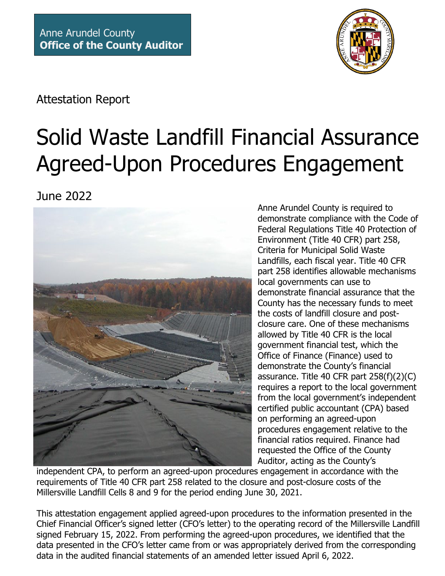

Attestation Report

# Solid Waste Landfill Financial Assurance Agreed-Upon Procedures Engagement

June 2022



Anne Arundel County is required to demonstrate compliance with the Code of Federal Regulations Title 40 Protection of Environment (Title 40 CFR) part 258, Criteria for Municipal Solid Waste Landfills, each fiscal year. Title 40 CFR part 258 identifies allowable mechanisms local governments can use to demonstrate financial assurance that the County has the necessary funds to meet the costs of landfill closure and postclosure care. One of these mechanisms allowed by Title 40 CFR is the local government financial test, which the Office of Finance (Finance) used to demonstrate the County's financial assurance. Title 40 CFR part 258(f)(2)(C) requires a report to the local government from the local government's independent certified public accountant (CPA) based on performing an agreed-upon procedures engagement relative to the financial ratios required. Finance had requested the Office of the County Auditor, acting as the County's

independent CPA, to perform an agreed-upon procedures engagement in accordance with the requirements of Title 40 CFR part 258 related to the closure and post-closure costs of the Millersville Landfill Cells 8 and 9 for the period ending June 30, 2021.

This attestation engagement applied agreed-upon procedures to the information presented in the Chief Financial Officer's signed letter (CFO's letter) to the operating record of the Millersville Landfill signed February 15, 2022. From performing the agreed-upon procedures, we identified that the data presented in the CFO's letter came from or was appropriately derived from the corresponding data in the audited financial statements of an amended letter issued April 6, 2022.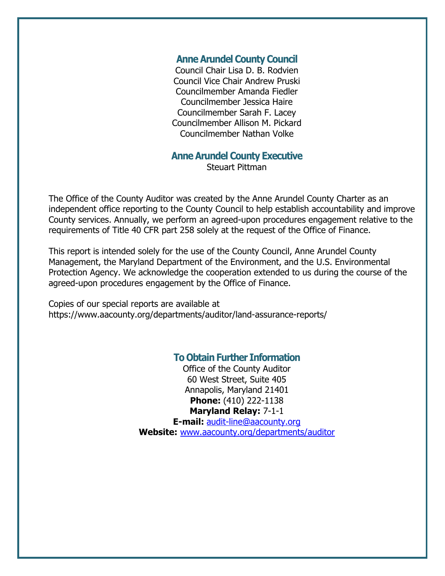#### **Anne Arundel County Council**

Council Chair Lisa D. B. Rodvien Council Vice Chair Andrew Pruski Councilmember Amanda Fiedler Councilmember Jessica Haire Councilmember Sarah F. Lacey Councilmember Allison M. Pickard Councilmember Nathan Volke

### **Anne Arundel County Executive**

Steuart Pittman

The Office of the County Auditor was created by the Anne Arundel County Charter as an independent office reporting to the County Council to help establish accountability and improve County services. Annually, we perform an agreed-upon procedures engagement relative to the requirements of Title 40 CFR part 258 solely at the request of the Office of Finance.

This report is intended solely for the use of the County Council, Anne Arundel County Management, the Maryland Department of the Environment, and the U.S. Environmental Protection Agency. We acknowledge the cooperation extended to us during the course of the agreed-upon procedures engagement by the Office of Finance.

Copies of our special reports are available at https://www.aacounty.org/departments/auditor/land-assurance-reports/

## **To Obtain Further Information**

Office of the County Auditor 60 West Street, Suite 405 Annapolis, Maryland 21401 **Phone:** (410) 222-1138 **Maryland Relay:** 7-1-1

**E-mail:** [audit-line@aacounty.org](mailto:audit-line@aacounty.org) **Website:** [www.aacounty.org/departments/auditor](http://www.aacounty.org/departments/auditor)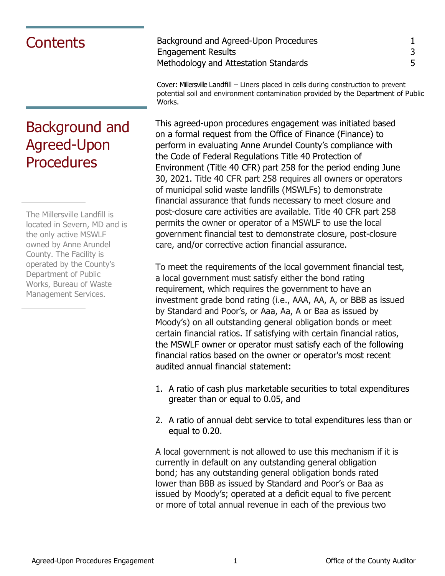## Background and Agreed-Upon **Procedures**

The Millersville Landfill is located in Severn, MD and is the only active MSWLF owned by Anne Arundel County. The Facility is operated by the County's Department of Public Works, Bureau of Waste Management Services.

Contents<br>
Engagement Results<br>
3 Engagement Results 3 Methodology and Attestation Standards 5

Cover: Millersville Landfill – Liners placed in cells during construction to prevent potential soil and environment contamination provided by the Department of Public Works.

This agreed-upon procedures engagement was initiated based on a formal request from the Office of Finance (Finance) to perform in evaluating Anne Arundel County's compliance with the Code of Federal Regulations Title 40 Protection of Environment (Title 40 CFR) part 258 for the period ending June 30, 2021. Title 40 CFR part 258 requires all owners or operators of municipal solid waste landfills (MSWLFs) to demonstrate financial assurance that funds necessary to meet closure and post-closure care activities are available. Title 40 CFR part 258 permits the owner or operator of a MSWLF to use the local government financial test to demonstrate closure, post-closure care, and/or corrective action financial assurance.

To meet the requirements of the local government financial test, a local government must satisfy either the bond rating requirement, which requires the government to have an investment grade bond rating (i.e., AAA, AA, A, or BBB as issued by Standard and Poor's, or Aaa, Aa, A or Baa as issued by Moody's) on all outstanding general obligation bonds or meet certain financial ratios. If satisfying with certain financial ratios, the MSWLF owner or operator must satisfy each of the following financial ratios based on the owner or operator's most recent audited annual financial statement:

- 1. A ratio of cash plus marketable securities to total expenditures greater than or equal to 0.05, and
- 2. A ratio of annual debt service to total expenditures less than or equal to 0.20.

A local government is not allowed to use this mechanism if it is currently in default on any outstanding general obligation bond; has any outstanding general obligation bonds rated lower than BBB as issued by Standard and Poor's or Baa as issued by Moody's; operated at a deficit equal to five percent or more of total annual revenue in each of the previous two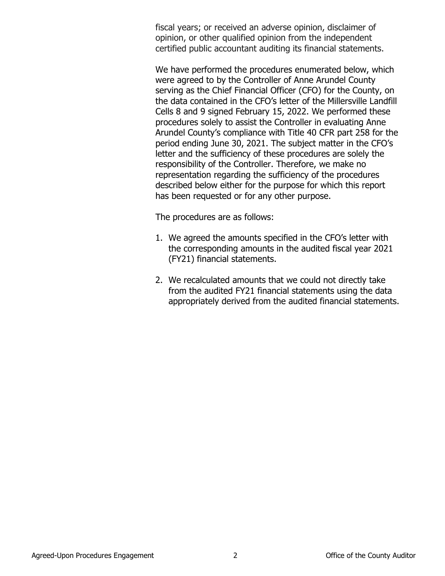fiscal years; or received an adverse opinion, disclaimer of opinion, or other qualified opinion from the independent certified public accountant auditing its financial statements.

We have performed the procedures enumerated below, which were agreed to by the Controller of Anne Arundel County serving as the Chief Financial Officer (CFO) for the County, on the data contained in the CFO's letter of the Millersville Landfill Cells 8 and 9 signed February 15, 2022. We performed these procedures solely to assist the Controller in evaluating Anne Arundel County's compliance with Title 40 CFR part 258 for the period ending June 30, 2021. The subject matter in the CFO's letter and the sufficiency of these procedures are solely the responsibility of the Controller. Therefore, we make no representation regarding the sufficiency of the procedures described below either for the purpose for which this report has been requested or for any other purpose.

The procedures are as follows:

- 1. We agreed the amounts specified in the CFO's letter with the corresponding amounts in the audited fiscal year 2021 (FY21) financial statements.
- 2. We recalculated amounts that we could not directly take from the audited FY21 financial statements using the data appropriately derived from the audited financial statements.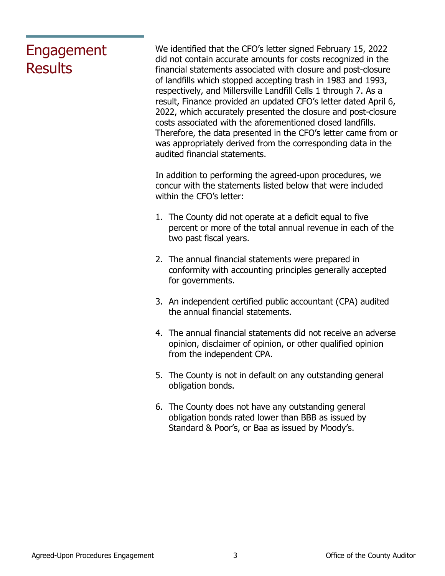## Engagement **Results**

We identified that the CFO's letter signed February 15, 2022 did not contain accurate amounts for costs recognized in the financial statements associated with closure and post-closure of landfills which stopped accepting trash in 1983 and 1993, respectively, and Millersville Landfill Cells 1 through 7. As a result, Finance provided an updated CFO's letter dated April 6, 2022, which accurately presented the closure and post-closure costs associated with the aforementioned closed landfills. Therefore, the data presented in the CFO's letter came from or was appropriately derived from the corresponding data in the audited financial statements.

In addition to performing the agreed-upon procedures, we concur with the statements listed below that were included within the CFO's letter:

- 1. The County did not operate at a deficit equal to five percent or more of the total annual revenue in each of the two past fiscal years.
- 2. The annual financial statements were prepared in conformity with accounting principles generally accepted for governments.
- 3. An independent certified public accountant (CPA) audited the annual financial statements.
- 4. The annual financial statements did not receive an adverse opinion, disclaimer of opinion, or other qualified opinion from the independent CPA.
- 5. The County is not in default on any outstanding general obligation bonds.
- 6. The County does not have any outstanding general obligation bonds rated lower than BBB as issued by Standard & Poor's, or Baa as issued by Moody's.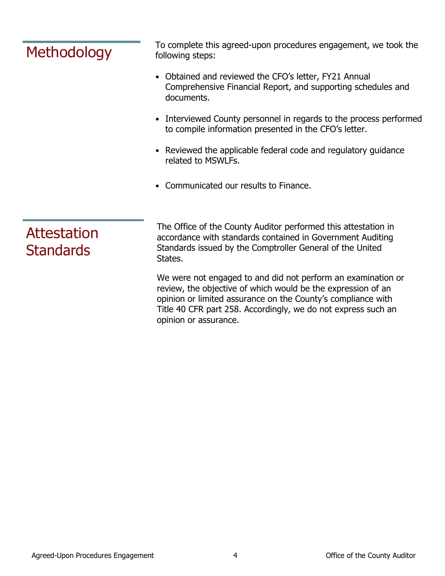| <b>Methodology</b>              | To complete this agreed-upon procedures engagement, we took the<br>following steps:                                                                                                                  |
|---------------------------------|------------------------------------------------------------------------------------------------------------------------------------------------------------------------------------------------------|
|                                 | • Obtained and reviewed the CFO's letter, FY21 Annual<br>Comprehensive Financial Report, and supporting schedules and<br>documents.                                                                  |
|                                 | • Interviewed County personnel in regards to the process performed<br>to compile information presented in the CFO's letter.                                                                          |
|                                 | • Reviewed the applicable federal code and regulatory guidance<br>related to MSWLFs.                                                                                                                 |
|                                 | • Communicated our results to Finance.                                                                                                                                                               |
| Attestation<br><b>Standards</b> | The Office of the County Auditor performed this attestation in<br>accordance with standards contained in Government Auditing<br>Standards issued by the Comptroller General of the United<br>States. |
|                                 | We were not engaged to and did not perform an examination or<br>review, the objective of which would be the expression of an                                                                         |

review, the objective of which would be the expression of an opinion or limited assurance on the County's compliance with Title 40 CFR part 258. Accordingly, we do not express such an opinion or assurance.